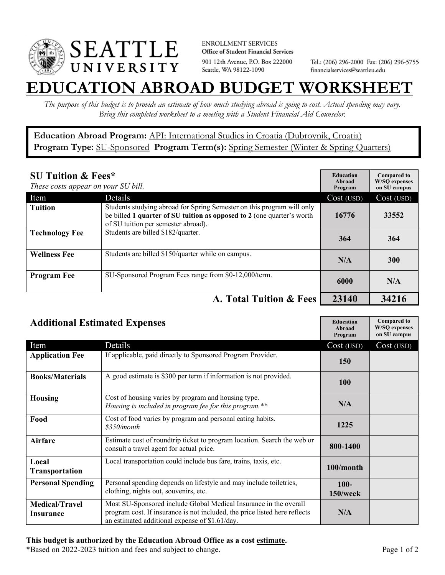

**ENROLLMENT SERVICES** Office of Student Financial Services 901 12th Avenue, P.O. Box 222000 Seattle, WA 98122-1090

Tel.: (206) 296-2000 Fax: (206) 296-5755 financialservices@seattleu.edu

## **EATION ABROAD BUDGET WORKSHEE**

*The purpose of this budget is to provide an estimate of how much studying abroad is going to cost. Actual spending may vary. Bring this completed worksheet to a meeting with a Student Financial Aid Counselor.* 

**Education Abroad Program:** API: International Studies in Croatia (Dubrovnik, Croatia) Program Type: SU-Sponsored Program Term(s): Spring Semester (Winter & Spring Quarters)

| <b>SU Tuition &amp; Fees*</b><br>These costs appear on your SU bill. |                                                                                                                                                                                         | <b>Education</b><br>Abroad<br>Program | <b>Compared to</b><br><b>W/SO</b> expenses<br>on SU campus |
|----------------------------------------------------------------------|-----------------------------------------------------------------------------------------------------------------------------------------------------------------------------------------|---------------------------------------|------------------------------------------------------------|
| Item                                                                 | Details                                                                                                                                                                                 | Cost (USD)                            | Cost (USD)                                                 |
| <b>Tuition</b>                                                       | Students studying abroad for Spring Semester on this program will only<br>be billed 1 quarter of SU tuition as opposed to 2 (one quarter's worth<br>of SU tuition per semester abroad). | 16776                                 | 33552                                                      |
| <b>Technology Fee</b>                                                | Students are billed \$182/quarter.                                                                                                                                                      | 364                                   | 364                                                        |
| <b>Wellness Fee</b>                                                  | Students are billed \$150/quarter while on campus.                                                                                                                                      | N/A                                   | <b>300</b>                                                 |
| <b>Program Fee</b>                                                   | SU-Sponsored Program Fees range from \$0-12,000/term.                                                                                                                                   | 6000                                  | N/A                                                        |
|                                                                      | A. Total Tuition & Fees                                                                                                                                                                 | 23140                                 | 34216                                                      |

| <b>Additional Estimated Expenses</b> |                                                                                                                                                                                                   | <b>Education</b><br>Abroad<br>Program | <b>Compared to</b><br><b>W/SQ</b> expenses<br>on SU campus |
|--------------------------------------|---------------------------------------------------------------------------------------------------------------------------------------------------------------------------------------------------|---------------------------------------|------------------------------------------------------------|
| Item                                 | Details                                                                                                                                                                                           | Cost (USD)                            | Cost (USD)                                                 |
| <b>Application Fee</b>               | If applicable, paid directly to Sponsored Program Provider.                                                                                                                                       | <b>150</b>                            |                                                            |
| <b>Books/Materials</b>               | A good estimate is \$300 per term if information is not provided.                                                                                                                                 | 100                                   |                                                            |
| <b>Housing</b>                       | Cost of housing varies by program and housing type.<br>Housing is included in program fee for this program.**                                                                                     | N/A                                   |                                                            |
| Food                                 | Cost of food varies by program and personal eating habits.<br>\$350/month                                                                                                                         | 1225                                  |                                                            |
| <b>Airfare</b>                       | Estimate cost of roundtrip ticket to program location. Search the web or<br>consult a travel agent for actual price.                                                                              | 800-1400                              |                                                            |
| Local<br><b>Transportation</b>       | Local transportation could include bus fare, trains, taxis, etc.                                                                                                                                  | 100/month                             |                                                            |
| <b>Personal Spending</b>             | Personal spending depends on lifestyle and may include toiletries,<br>clothing, nights out, souvenirs, etc.                                                                                       | $100 -$<br>$150$ /week                |                                                            |
| <b>Medical/Travel</b><br>Insurance   | Most SU-Sponsored include Global Medical Insurance in the overall<br>program cost. If insurance is not included, the price listed here reflects<br>an estimated additional expense of \$1.61/day. | N/A                                   |                                                            |

\*Based on 2022-2023 tuition and fees and subject to change. Page 1 of 2